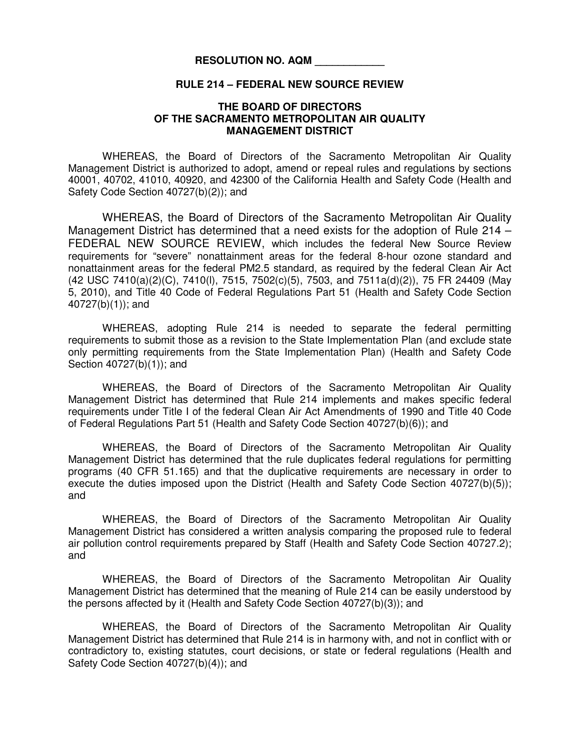## **RESOLUTION NO. AQM \_\_\_\_\_\_\_\_\_\_\_\_**

## **RULE 214 – FEDERAL NEW SOURCE REVIEW**

## **THE BOARD OF DIRECTORS OF THE SACRAMENTO METROPOLITAN AIR QUALITY MANAGEMENT DISTRICT**

WHEREAS, the Board of Directors of the Sacramento Metropolitan Air Quality Management District is authorized to adopt, amend or repeal rules and regulations by sections 40001, 40702, 41010, 40920, and 42300 of the California Health and Safety Code (Health and Safety Code Section 40727(b)(2)); and

WHEREAS, the Board of Directors of the Sacramento Metropolitan Air Quality Management District has determined that a need exists for the adoption of Rule 214 – FEDERAL NEW SOURCE REVIEW, which includes the federal New Source Review requirements for "severe" nonattainment areas for the federal 8-hour ozone standard and nonattainment areas for the federal PM2.5 standard, as required by the federal Clean Air Act (42 USC 7410(a)(2)(C), 7410(l), 7515, 7502(c)(5), 7503, and 7511a(d)(2)), 75 FR 24409 (May 5, 2010), and Title 40 Code of Federal Regulations Part 51 (Health and Safety Code Section 40727(b)(1)); and

WHEREAS, adopting Rule 214 is needed to separate the federal permitting requirements to submit those as a revision to the State Implementation Plan (and exclude state only permitting requirements from the State Implementation Plan) (Health and Safety Code Section 40727(b)(1)); and

WHEREAS, the Board of Directors of the Sacramento Metropolitan Air Quality Management District has determined that Rule 214 implements and makes specific federal requirements under Title I of the federal Clean Air Act Amendments of 1990 and Title 40 Code of Federal Regulations Part 51 (Health and Safety Code Section 40727(b)(6)); and

WHEREAS, the Board of Directors of the Sacramento Metropolitan Air Quality Management District has determined that the rule duplicates federal regulations for permitting programs (40 CFR 51.165) and that the duplicative requirements are necessary in order to execute the duties imposed upon the District (Health and Safety Code Section 40727(b)(5)); and

WHEREAS, the Board of Directors of the Sacramento Metropolitan Air Quality Management District has considered a written analysis comparing the proposed rule to federal air pollution control requirements prepared by Staff (Health and Safety Code Section 40727.2); and

WHEREAS, the Board of Directors of the Sacramento Metropolitan Air Quality Management District has determined that the meaning of Rule 214 can be easily understood by the persons affected by it (Health and Safety Code Section 40727(b)(3)); and

WHEREAS, the Board of Directors of the Sacramento Metropolitan Air Quality Management District has determined that Rule 214 is in harmony with, and not in conflict with or contradictory to, existing statutes, court decisions, or state or federal regulations (Health and Safety Code Section 40727(b)(4)); and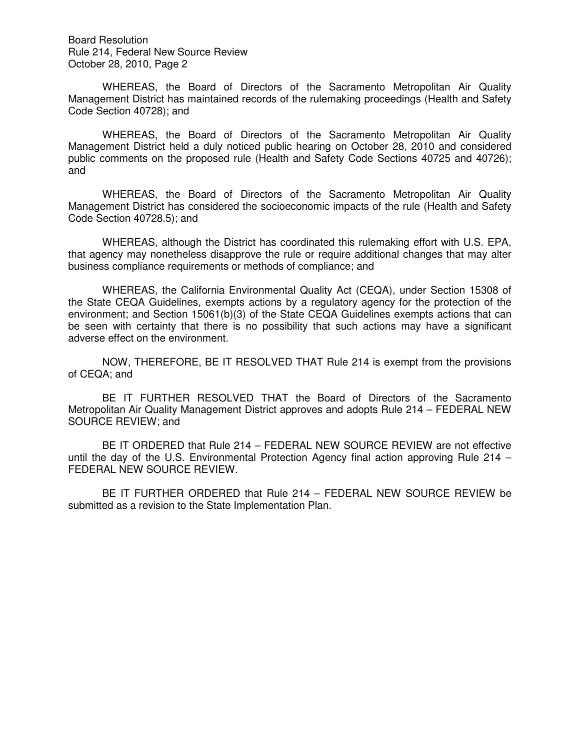Board Resolution Rule 214, Federal New Source Review October 28, 2010, Page 2

WHEREAS, the Board of Directors of the Sacramento Metropolitan Air Quality Management District has maintained records of the rulemaking proceedings (Health and Safety Code Section 40728); and

WHEREAS, the Board of Directors of the Sacramento Metropolitan Air Quality Management District held a duly noticed public hearing on October 28, 2010 and considered public comments on the proposed rule (Health and Safety Code Sections 40725 and 40726); and

WHEREAS, the Board of Directors of the Sacramento Metropolitan Air Quality Management District has considered the socioeconomic impacts of the rule (Health and Safety Code Section 40728.5); and

WHEREAS, although the District has coordinated this rulemaking effort with U.S. EPA, that agency may nonetheless disapprove the rule or require additional changes that may alter business compliance requirements or methods of compliance; and

WHEREAS, the California Environmental Quality Act (CEQA), under Section 15308 of the State CEQA Guidelines, exempts actions by a regulatory agency for the protection of the environment; and Section 15061(b)(3) of the State CEQA Guidelines exempts actions that can be seen with certainty that there is no possibility that such actions may have a significant adverse effect on the environment.

NOW, THEREFORE, BE IT RESOLVED THAT Rule 214 is exempt from the provisions of CEQA; and

BE IT FURTHER RESOLVED THAT the Board of Directors of the Sacramento Metropolitan Air Quality Management District approves and adopts Rule 214 – FEDERAL NEW SOURCE REVIEW; and

BE IT ORDERED that Rule 214 – FEDERAL NEW SOURCE REVIEW are not effective until the day of the U.S. Environmental Protection Agency final action approving Rule 214 – FEDERAL NEW SOURCE REVIEW.

BE IT FURTHER ORDERED that Rule 214 – FEDERAL NEW SOURCE REVIEW be submitted as a revision to the State Implementation Plan.